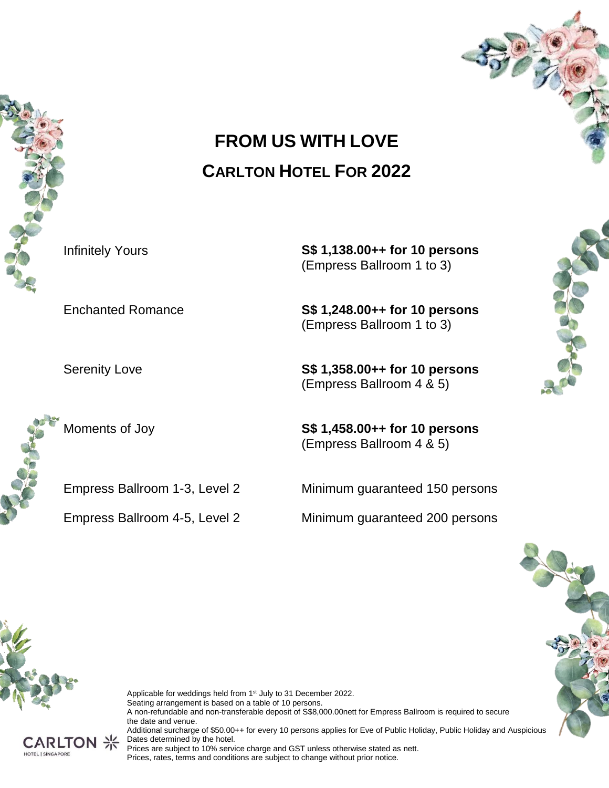

# **FROM US WITH LOVE CARLTON HOTEL FOR 2022**

Infinitely Yours **S\$ 1,138.00++ for 10 persons** (Empress Ballroom 1 to 3)

Enchanted Romance **S\$ 1,248.00++ for 10 persons** (Empress Ballroom 1 to 3)

Serenity Love **S\$ 1,358.00++ for 10 persons** (Empress Ballroom 4 & 5)

Moments of Joy **S\$ 1,458.00++ for 10 persons** (Empress Ballroom 4 & 5)

Empress Ballroom 1-3, Level 2 Minimum guaranteed 150 persons

Empress Ballroom 4-5, Level 2 Minimum guaranteed 200 persons





Applicable for weddings held from 1<sup>st</sup> July to 31 December 2022. Seating arrangement is based on a table of 10 persons. A non-refundable and non-transferable deposit of S\$8,000.00nett for Empress Ballroom is required to secure the date and venue. Additional surcharge of \$50.00++ for every 10 persons applies for Eve of Public Holiday, Public Holiday and Auspicious



Dates determined by the hotel. Prices are subject to 10% service charge and GST unless otherwise stated as nett. Prices, rates, terms and conditions are subject to change without prior notice.

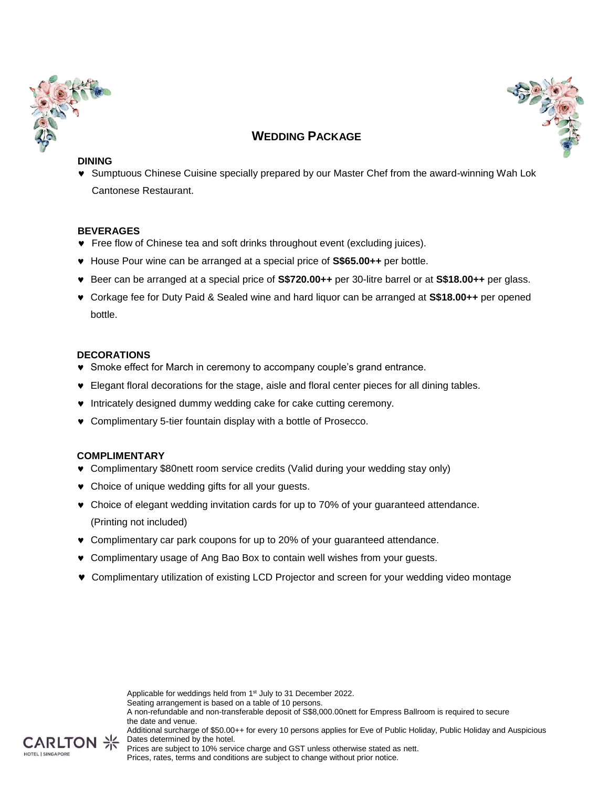



## **WEDDING PACKAGE**

### **DINING**

 Sumptuous Chinese Cuisine specially prepared by our Master Chef from the award-winning Wah Lok Cantonese Restaurant.

### **BEVERAGES**

- Free flow of Chinese tea and soft drinks throughout event (excluding juices).
- House Pour wine can be arranged at a special price of **S\$65.00++** per bottle.
- Beer can be arranged at a special price of **S\$720.00++** per 30-litre barrel or at **S\$18.00++** per glass.
- Corkage fee for Duty Paid & Sealed wine and hard liquor can be arranged at **S\$18.00++** per opened bottle.

### **DECORATIONS**

- Smoke effect for March in ceremony to accompany couple's grand entrance.
- Elegant floral decorations for the stage, aisle and floral center pieces for all dining tables.
- $\bullet$  Intricately designed dummy wedding cake for cake cutting ceremony.
- Complimentary 5-tier fountain display with a bottle of Prosecco.

### **COMPLIMENTARY**

- Complimentary \$80nett room service credits (Valid during your wedding stay only)
- Choice of unique wedding gifts for all your guests.
- Choice of elegant wedding invitation cards for up to 70% of your guaranteed attendance. (Printing not included)
- Complimentary car park coupons for up to 20% of your guaranteed attendance.
- Complimentary usage of Ang Bao Box to contain well wishes from your guests.
- Complimentary utilization of existing LCD Projector and screen for your wedding video montage

Applicable for weddings held from 1<sup>st</sup> July to 31 December 2022. Seating arrangement is based on a table of 10 persons. A non-refundable and non-transferable deposit of S\$8,000.00nett for Empress Ballroom is required to secure the date and venue. Additional surcharge of \$50.00++ for every 10 persons applies for Eve of Public Holiday, Public Holiday and Auspicious Dates determined by the hotel.



Prices are subject to 10% service charge and GST unless otherwise stated as nett. Prices, rates, terms and conditions are subject to change without prior notice.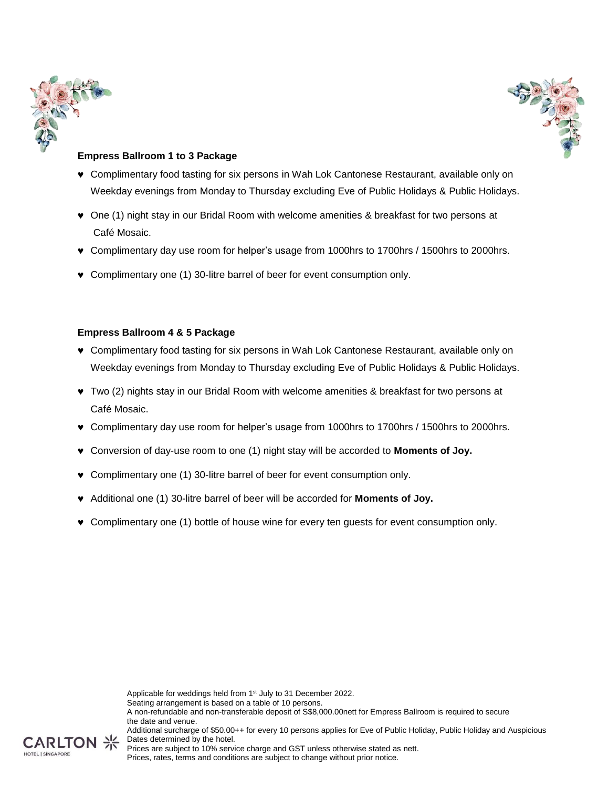



### **Empress Ballroom 1 to 3 Package**

- Complimentary food tasting for six persons in Wah Lok Cantonese Restaurant, available only on Weekday evenings from Monday to Thursday excluding Eve of Public Holidays & Public Holidays.
- One (1) night stay in our Bridal Room with welcome amenities & breakfast for two persons at Café Mosaic.
- Complimentary day use room for helper's usage from 1000hrs to 1700hrs / 1500hrs to 2000hrs.
- Complimentary one (1) 30-litre barrel of beer for event consumption only.

### **Empress Ballroom 4 & 5 Package**

- Complimentary food tasting for six persons in Wah Lok Cantonese Restaurant, available only on Weekday evenings from Monday to Thursday excluding Eve of Public Holidays & Public Holidays.
- Two (2) nights stay in our Bridal Room with welcome amenities & breakfast for two persons at Café Mosaic.
- Complimentary day use room for helper's usage from 1000hrs to 1700hrs / 1500hrs to 2000hrs.
- Conversion of day-use room to one (1) night stay will be accorded to **Moments of Joy.**
- Complimentary one (1) 30-litre barrel of beer for event consumption only.
- Additional one (1) 30-litre barrel of beer will be accorded for **Moments of Joy.**
- Complimentary one (1) bottle of house wine for every ten guests for event consumption only.



Prices, rates, terms and conditions are subject to change without prior notice.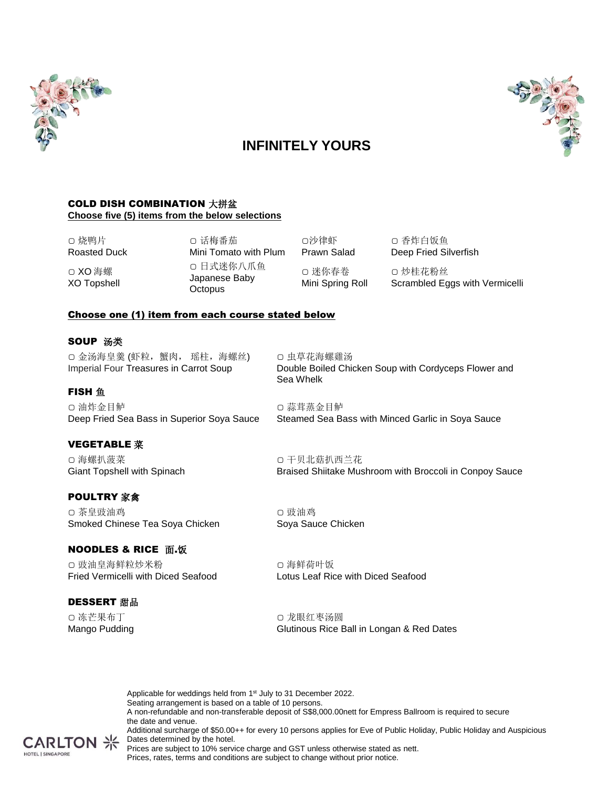

# 

# **INFINITELY YOURS**

### COLD DISH COMBINATION 大拼盆 **Choose five (5) items from the below selections**

▢ 烧鸭片 Roasted Duck

▢ XO 海螺 XO Topshell ▢ 话梅番茄 Mini Tomato with Plum ▢ 日式迷你八爪鱼 Japanese Baby **Octopus** 

▢沙律虾 Prawn Salad ▢ 迷你春卷 Mini Spring Roll ▢ 香炸白饭鱼 Deep Fried Silverfish

▢ 炒桂花粉丝 Scrambled Eggs with Vermicelli

### Choose one (1) item from each course stated below

### SOUP 汤类

**FISH** 鱼

▢ 金汤海皇羹 (虾粒,蟹肉, 瑶柱,海螺丝) Imperial Four Treasures in Carrot Soup

▢ 虫草花海螺雞汤 Double Boiled Chicken Soup with Cordyceps Flower and Sea Whelk

▢ 油炸金目鲈 Deep Fried Sea Bass in Superior Soya Sauce

### VEGETABLE 菜

▢ 海螺扒菠菜 Giant Topshell with Spinach

### POULTRY 家禽

▢ 茶皇豉油鸡 Smoked Chinese Tea Soya Chicken

### **NOODLES & RICE 面.饭**

▢ 豉油皇海鲜粒炒米粉 Fried Vermicelli with Diced Seafood

### DESSERT 甜品

▢ 冻芒果布丁 Mango Pudding Braised Shiitake Mushroom with Broccoli in Conpoy Sauce

Steamed Sea Bass with Minced Garlic in Soya Sauce

▢ 豉油鸡 Soya Sauce Chicken

▢ 干贝北菇扒西兰花

▢ 蒜茸蒸金目鲈

▢ 海鲜荷叶饭 Lotus Leaf Rice with Diced Seafood

▢ 龙眼红枣汤圆 Glutinous Rice Ball in Longan & Red Dates

Applicable for weddings held from 1<sup>st</sup> July to 31 December 2022. Seating arrangement is based on a table of 10 persons. A non-refundable and non-transferable deposit of S\$8,000.00nett for Empress Ballroom is required to secure the date and venue. Additional surcharge of \$50.00++ for every 10 persons applies for Eve of Public Holiday, Public Holiday and Auspicious  $CARTON \nless$  Dates determined by the hotel. Prices are subject to 10% service charge and GST unless otherwise stated as nett.



Prices, rates, terms and conditions are subject to change without prior notice.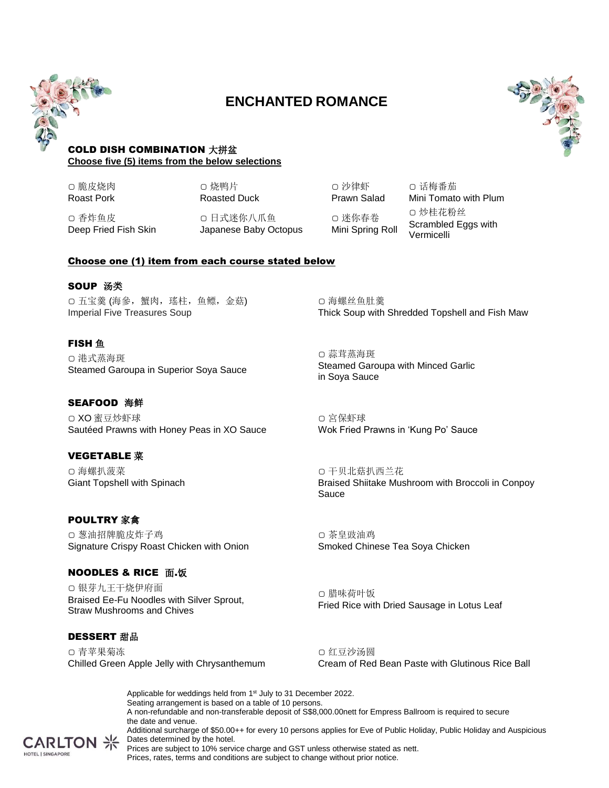

# **ENCHANTED ROMANCE**



### COLD DISH COMBINATION 大拼盆 **Choose five (5) items from the below selections**

▢ 脆皮烧肉 Roast Pork ▢ 烧鸭片 Roasted Duck

▢ 香炸鱼皮 Deep Fried Fish Skin

▢ 日式迷你八爪鱼 Japanese Baby Octopus

Choose one (1) item from each course stated below

### **SOUP 汤类**

▢ 五宝羹 (海參,蟹肉,瑤柱,鱼鳔,金菇) Imperial Five Treasures Soup

### **FISH** 鱼

▢ 港式蒸海斑 Steamed Garoupa in Superior Soya Sauce

### **SEAFOOD 海鲜**

▢ XO 蜜豆炒虾球 Sautéed Prawns with Honey Peas in XO Sauce

### VEGETABLE 菜

▢ 海螺扒菠菜 Giant Topshell with Spinach

### POULTRY 家禽

▢ 葱油招牌脆皮炸子鸡 Signature Crispy Roast Chicken with Onion

### **NOODLES & RICE 面.饭**

▢ 银芽九王干烧伊府面 Braised Ee-Fu Noodles with Silver Sprout, Straw Mushrooms and Chives

### DESSERT 甜品

▢ 青苹果菊冻 Chilled Green Apple Jelly with Chrysanthemum

▢ 沙律虾 Prawn Salad ▢ 迷你春卷 Mini Spring Roll

▢ 话梅番茄 Mini Tomato with Plum ▢ 炒桂花粉丝 Scrambled Eggs with Vermicelli

▢ 海螺丝鱼肚羹 Thick Soup with Shredded Topshell and Fish Maw

▢ 蒜茸蒸海斑 Steamed Garoupa with Minced Garlic in Soya Sauce

▢ 宮保虾球 Wok Fried Prawns in 'Kung Po' Sauce

▢ 干贝北菇扒西兰花 Braised Shiitake Mushroom with Broccoli in Conpoy Sauce

▢ 茶皇豉油鸡 Smoked Chinese Tea Soya Chicken

▢ 腊味荷叶饭 Fried Rice with Dried Sausage in Lotus Leaf

▢ 红豆沙汤圆 Cream of Red Bean Paste with Glutinous Rice Ball

Applicable for weddings held from 1<sup>st</sup> July to 31 December 2022. Seating arrangement is based on a table of 10 persons. A non-refundable and non-transferable deposit of S\$8,000.00nett for Empress Ballroom is required to secure the date and venue. Additional surcharge of \$50.00++ for every 10 persons applies for Eve of Public Holiday, Public Holiday and Auspicious  $CARTON \nless$  Dates determined by the hotel.



Prices are subject to 10% service charge and GST unless otherwise stated as nett. Prices, rates, terms and conditions are subject to change without prior notice.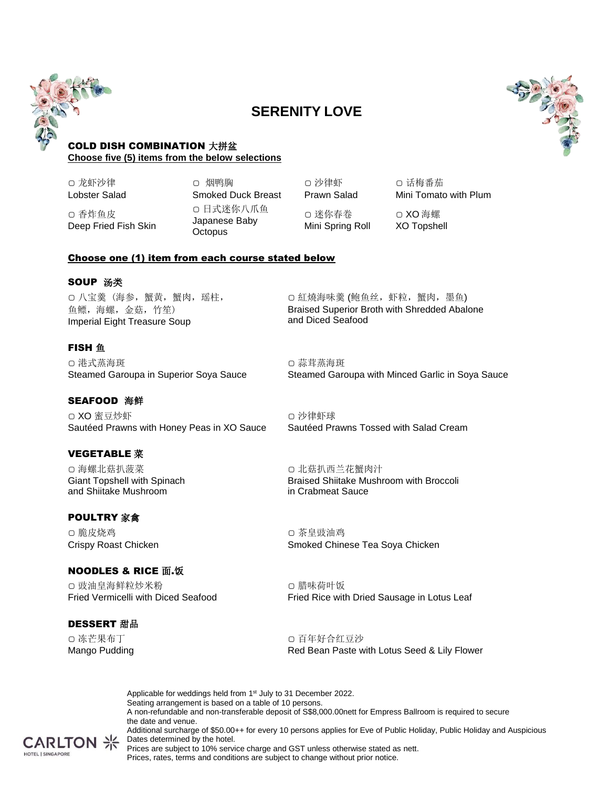

# **SERENITY LOVE**



### COLD DISH COMBINATION 大拼盆 **Choose five (5) items from the below selections**

▢ 龙虾沙律 Lobster Salad

▢ 香炸鱼皮

Deep Fried Fish Skin

▢ 烟鸭胸 Smoked Duck Breast ▢ 日式迷你八爪鱼 Japanese Baby **Octopus** 

▢ 沙律虾 Prawn Salad ▢ 话梅番茄 Mini Tomato with Plum

▢ 迷你春卷 Mini Spring Roll

▢ XO 海螺 XO Topshell

### Choose one (1) item from each course stated below

### SOUP 汤类

▢ 八宝羹 (海参,蟹黄,蟹肉,瑶柱, 鱼鳔,海螺,金菇,竹笙) Imperial Eight Treasure Soup

### **FISH** 鱼

▢ 港式蒸海斑 Steamed Garoupa in Superior Soya Sauce

### **SEAFOOD 海鲜**

▢ XO 蜜豆炒虾 Sautéed Prawns with Honey Peas in XO Sauce

### VEGETABLE 菜

▢ 海螺北菇扒菠菜 Giant Topshell with Spinach and Shiitake Mushroom

### POULTRY 家禽

▢ 脆皮烧鸡 Crispy Roast Chicken

### NOODLES & RICE 面.饭

▢ 豉油皇海鲜粒炒米粉 Fried Vermicelli with Diced Seafood

### DESSERT 甜品

▢ 冻芒果布丁 Mango Pudding ▢ 紅燒海味羹 (鲍鱼丝,虾粒,蟹肉,墨鱼) Braised Superior Broth with Shredded Abalone and Diced Seafood

▢ 蒜茸蒸海斑 Steamed Garoupa with Minced Garlic in Soya Sauce

▢ 沙律虾球 Sautéed Prawns Tossed with Salad Cream

▢ 北菇扒西兰花蟹肉汁 Braised Shiitake Mushroom with Broccoli in Crabmeat Sauce

▢ 茶皇豉油鸡 Smoked Chinese Tea Soya Chicken

▢ 腊味荷叶饭 Fried Rice with Dried Sausage in Lotus Leaf

▢ 百年好合红豆沙 Red Bean Paste with Lotus Seed & Lily Flower

Applicable for weddings held from 1<sup>st</sup> July to 31 December 2022. Seating arrangement is based on a table of 10 persons. A non-refundable and non-transferable deposit of S\$8,000.00nett for Empress Ballroom is required to secure the date and venue. Additional surcharge of \$50.00++ for every 10 persons applies for Eve of Public Holiday, Public Holiday and Auspicious Dates determined by the hotel. Prices are subject to 10% service charge and GST unless otherwise stated as nett.



Prices, rates, terms and conditions are subject to change without prior notice.